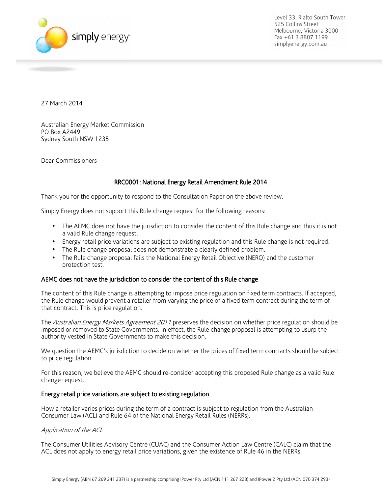

27 March 2014

Australian Energy Market Commission PO Box A2449 Sydney South NSW 1235

Dear Commissioners

# RRC0001: National Energy Retail Amendment Rule 2014

Thank you for the opportunity to respond to the Consultation Paper on the above review.

Simply Energy does not support this Rule change request for the following reasons:

- The AEMC does not have the jurisdiction to consider the content of this Rule change and thus it is not a valid Rule change request.
- Energy retail price variations are subject to existing regulation and this Rule change is not required.
- The Rule change proposal does not demonstrate a clearly defined problem.
- The Rule change proposal fails the National Energy Retail Objective (NERO) and the customer protection test.

### AEMC does not have the jurisdiction to consider the content of this Rule change

The content of this Rule change is attempting to impose price regulation on fixed term contracts. If accepted, the Rule change would prevent a retailer from varying the price of a fixed term contract during the term of that contract. This is price regulation.

The Australian Energy Markets Agreement 2011 preserves the decision on whether price regulation should be imposed or removed to State Governments. In effect, the Rule change proposal is attempting to usurp the authority vested in State Governments to make this decision.

We question the AEMC's jurisdiction to decide on whether the prices of fixed term contracts should be subject to price regulation.

For this reason, we believe the AEMC should re-consider accepting this proposed Rule change as a valid Rule change request.

#### Energy retail price variations are subject to existing regulation

How a retailer varies prices during the term of a contract is subject to regulation from the Australian Consumer Law (ACL) and Rule 64 of the National Energy Retail Rules (NERRs).

### Application of the ACL

The Consumer Utilities Advisory Centre (CUAC) and the Consumer Action Law Centre (CALC) claim that the ACL does not apply to energy retail price variations, given the existence of Rule 46 in the NERRs.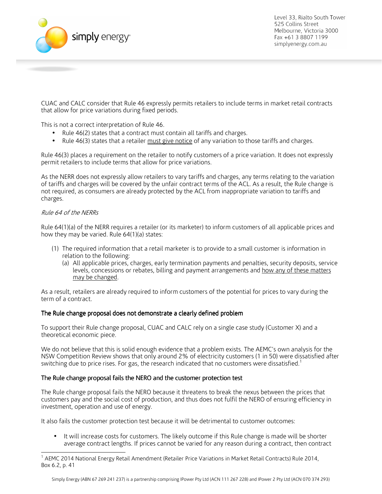

CUAC and CALC consider that Rule 46 expressly permits retailers to include terms in market retail contracts that allow for price variations during fixed periods.

This is not a correct interpretation of Rule 46.

- Rule 46(2) states that a contract must contain all tariffs and charges.
- Rule 46(3) states that a retailer must give notice of any variation to those tariffs and charges.

Rule 46(3) places a requirement on the retailer to notify customers of a price variation. It does not expressly permit retailers to include terms that allow for price variations.

As the NERR does not expressly allow retailers to vary tariffs and charges, any terms relating to the variation of tariffs and charges will be covered by the unfair contract terms of the ACL. As a result, the Rule change is not required, as consumers are already protected by the ACL from inappropriate variation to tariffs and charges.

#### Rule 64 of the NERRs

Rule 64(1)(a) of the NERR requires a retailer (or its marketer) to inform customers of all applicable prices and how they may be varied. Rule 64(1)(a) states:

- (1) The required information that a retail marketer is to provide to a small customer is information in relation to the following:
	- (a) All applicable prices, charges, early termination payments and penalties, security deposits, service levels, concessions or rebates, billing and payment arrangements and how any of these matters may be changed.

As a result, retailers are already required to inform customers of the potential for prices to vary during the term of a contract.

#### The Rule change proposal does not demonstrate a clearly defined problem

To support their Rule change proposal, CUAC and CALC rely on a single case study (Customer X) and a theoretical economic piece.

We do not believe that this is solid enough evidence that a problem exists. The AEMC's own analysis for the NSW Competition Review shows that only around 2% of electricity customers (1 in 50) were dissatisfied after switching due to price rises. For gas, the research indicated that no customers were dissatisfied.<sup>1</sup>

### The Rule change proposal fails the NERO and the customer protection test

The Rule change proposal fails the NERO because it threatens to break the nexus between the prices that customers pay and the social cost of production, and thus does not fulfil the NERO of ensuring efficiency in investment, operation and use of energy.

It also fails the customer protection test because it will be detrimental to customer outcomes:

• It will increase costs for customers. The likely outcome if this Rule change is made will be shorter average contract lengths. If prices cannot be varied for any reason during a contract, then contract

 $\overline{a}$ 1 AEMC 2014 National Energy Retail Amendment (Retailer Price Variations in Market Retail Contracts) Rule 2014, Box 6.2, p. 41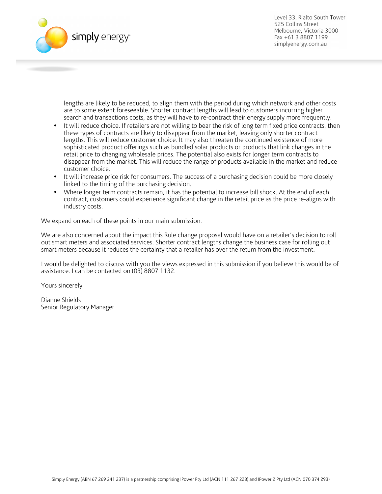

lengths are likely to be reduced, to align them with the period during which network and other costs are to some extent foreseeable. Shorter contract lengths will lead to customers incurring higher search and transactions costs, as they will have to re-contract their energy supply more frequently.

- It will reduce choice. If retailers are not willing to bear the risk of long term fixed price contracts, then these types of contracts are likely to disappear from the market, leaving only shorter contract lengths. This will reduce customer choice. It may also threaten the continued existence of more sophisticated product offerings such as bundled solar products or products that link changes in the retail price to changing wholesale prices. The potential also exists for longer term contracts to disappear from the market. This will reduce the range of products available in the market and reduce customer choice.
- It will increase price risk for consumers. The success of a purchasing decision could be more closely linked to the timing of the purchasing decision.
- Where longer term contracts remain, it has the potential to increase bill shock. At the end of each contract, customers could experience significant change in the retail price as the price re-aligns with industry costs.

We expand on each of these points in our main submission.

We are also concerned about the impact this Rule change proposal would have on a retailer's decision to roll out smart meters and associated services. Shorter contract lengths change the business case for rolling out smart meters because it reduces the certainty that a retailer has over the return from the investment.

I would be delighted to discuss with you the views expressed in this submission if you believe this would be of assistance. I can be contacted on (03) 8807 1132.

Yours sincerely

Dianne Shields Senior Regulatory Manager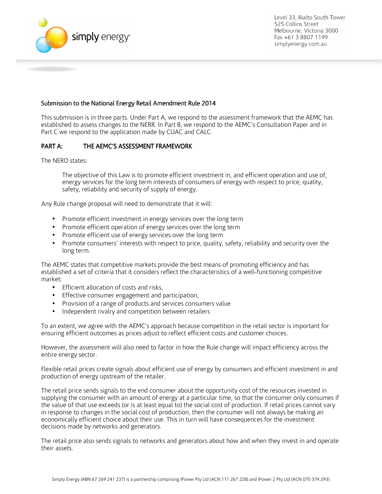

## Submission to the National Energy Retail Amendment Rule 2014

This submission is in three parts. Under Part A, we respond to the assessment framework that the AEMC has established to assess changes to the NERR. In Part B, we respond to the AEMC's Consultation Paper and in Part C we respond to the application made by CUAC and CALC.

# PART A: THE AEMC'S ASSESSMENT FRAMEWORK

The NERO states:

The objective of this Law is to promote efficient investment in, and efficient operation and use of, energy services for the long term interests of consumers of energy with respect to price, quality, safety, reliability and security of supply of energy.

Any Rule change proposal will need to demonstrate that it will:

- Promote efficient investment in energy services over the long term
- Promote efficient operation of energy services over the long term
- Promote efficient use of energy services over the long term
- Promote consumers' interests with respect to price, quality, safety, reliability and security over the long term.

The AEMC states that competitive markets provide the best means of promoting efficiency and has established a set of criteria that it considers reflect the characteristics of a well-functioning competitive market:

- Efficient allocation of costs and risks,
- Effective consumer engagement and participation,
- Provision of a range of products and services consumers value
- Independent rivalry and competition between retailers

To an extent, we agree with the AEMC's approach because competition in the retail sector is important for ensuring efficient outcomes as prices adjust to reflect efficient costs and customer choices.

However, the assessment will also need to factor in how the Rule change will impact efficiency across the entire energy sector.

Flexible retail prices create signals about efficient use of energy by consumers and efficient investment in and production of energy upstream of the retailer.

The retail price sends signals to the end consumer about the opportunity cost of the resources invested in supplying the consumer with an amount of energy at a particular time, so that the consumer only consumes if the value of that use exceeds (or is at least equal to) the social cost of production. If retail prices cannot vary in response to changes in the social cost of production, then the consumer will not always be making an economically efficient choice about their use. This in turn will have consequences for the investment decisions made by networks and generators.

The retail price also sends signals to networks and generators about how and when they invest in and operate their assets.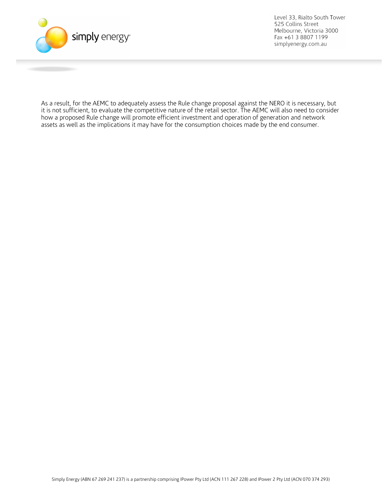

As a result, for the AEMC to adequately assess the Rule change proposal against the NERO it is necessary, but it is not sufficient, to evaluate the competitive nature of the retail sector. The AEMC will also need to consider how a proposed Rule change will promote efficient investment and operation of generation and network assets as well as the implications it may have for the consumption choices made by the end consumer.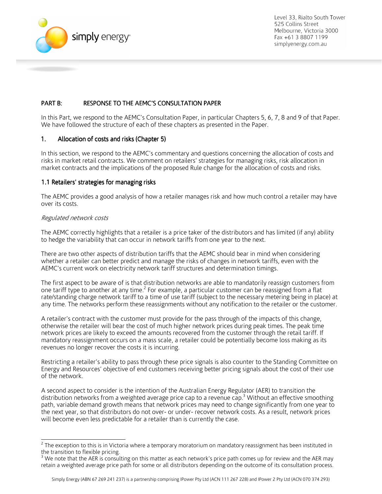

# PART B: RESPONSE TO THE AEMC'S CONSULTATION PAPER

In this Part, we respond to the AEMC's Consultation Paper, in particular Chapters 5, 6, 7, 8 and 9 of that Paper. We have followed the structure of each of these chapters as presented in the Paper.

### 1. Allocation of costs and risks (Chapter 5)

In this section, we respond to the AEMC's commentary and questions concerning the allocation of costs and risks in market retail contracts. We comment on retailers' strategies for managing risks, risk allocation in market contracts and the implications of the proposed Rule change for the allocation of costs and risks.

#### 1.1 Retailers' strategies for managing risks

The AEMC provides a good analysis of how a retailer manages risk and how much control a retailer may have over its costs.

#### Regulated network costs

The AEMC correctly highlights that a retailer is a price taker of the distributors and has limited (if any) ability to hedge the variability that can occur in network tariffs from one year to the next.

There are two other aspects of distribution tariffs that the AEMC should bear in mind when considering whether a retailer can better predict and manage the risks of changes in network tariffs, even with the AEMC's current work on electricity network tariff structures and determination timings.

The first aspect to be aware of is that distribution networks are able to mandatorily reassign customers from one tariff type to another at any time.<sup>2</sup> For example, a particular customer can be reassigned from a flat rate/standing charge network tariff to a time of use tariff (subject to the necessary metering being in place) at any time. The networks perform these reassignments without any notification to the retailer or the customer.

A retailer's contract with the customer must provide for the pass through of the impacts of this change, otherwise the retailer will bear the cost of much higher network prices during peak times. The peak time network prices are likely to exceed the amounts recovered from the customer through the retail tariff. If mandatory reassignment occurs on a mass scale, a retailer could be potentially become loss making as its revenues no longer recover the costs it is incurring.

Restricting a retailer's ability to pass through these price signals is also counter to the Standing Committee on Energy and Resources' objective of end customers receiving better pricing signals about the cost of their use of the network.

A second aspect to consider is the intention of the Australian Energy Regulator (AER) to transition the distribution networks from a weighted average price cap to a revenue cap.<sup>3</sup> Without an effective smoothing path, variable demand growth means that network prices may need to change significantly from one year to the next year, so that distributors do not over- or under- recover network costs. As a result, network prices will become even less predictable for a retailer than is currently the case.

 2 The exception to this is in Victoria where a temporary moratorium on mandatory reassignment has been instituted in the transition to flexible pricing.

<sup>3</sup> We note that the AER is consulting on this matter as each network's price path comes up for review and the AER may retain a weighted average price path for some or all distributors depending on the outcome of its consultation process.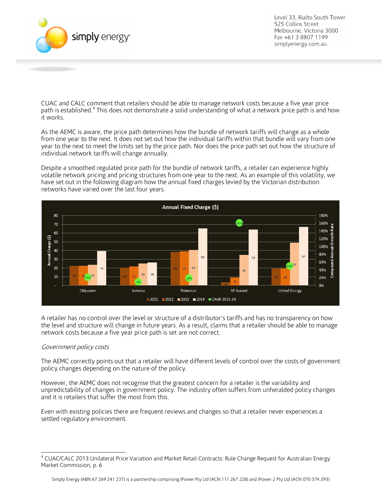

CUAC and CALC comment that retailers should be able to manage network costs because a five year price path is established.<sup>4</sup> This does not demonstrate a solid understanding of what a network price path is and how it works.

As the AEMC is aware, the price path determines how the bundle of network tariffs will change as a whole from one year to the next. It does not set out how the individual tariffs within that bundle will vary from one year to the next to meet the limits set by the price path. Nor does the price path set out how the structure of individual network tariffs will change annually.

Despite a smoothed regulated price path for the bundle of network tariffs, a retailer can experience highly volatile network pricing and pricing structures from one year to the next. As an example of this volatility, we have set out in the following diagram how the annual fixed charges levied by the Victorian distribution networks have varied over the last four years.



A retailer has no control over the level or structure of a distributor's tariffs and has no transparency on how the level and structure will change in future years. As a result, claims that a retailer should be able to manage network costs because a five year price path is set are not correct.

#### Government policy costs

The AEMC correctly points out that a retailer will have different levels of control over the costs of government policy changes depending on the nature of the policy.

However, the AEMC does not recognise that the greatest concern for a retailer is the variability and unpredictability of changes in government policy. The industry often suffers from unheralded policy changes and it is retailers that suffer the most from this.

Even with existing policies there are frequent reviews and changes so that a retailer never experiences a settled regulatory environment.

 4 CUAC/CALC 2013 Unilateral Price Variation and Market Retail Contracts: Rule Change Request for Australian Energy Market Commission, p. 6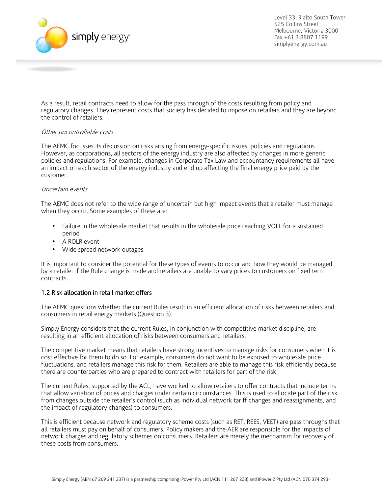

As a result, retail contracts need to allow for the pass through of the costs resulting from policy and regulatory changes. They represent costs that society has decided to impose on retailers and they are beyond the control of retailers.

#### Other uncontrollable costs

The AEMC focusses its discussion on risks arising from energy-specific issues, policies and regulations. However, as corporations, all sectors of the energy industry are also affected by changes in more generic policies and regulations. For example, changes in Corporate Tax Law and accountancy requirements all have an impact on each sector of the energy industry and end up affecting the final energy price paid by the customer.

#### Uncertain events

The AEMC does not refer to the wide range of uncertain but high impact events that a retailer must manage when they occur. Some examples of these are:

- Failure in the wholesale market that results in the wholesale price reaching VOLL for a sustained period
- A ROLR event
- Wide spread network outages

It is important to consider the potential for these types of events to occur and how they would be managed by a retailer if the Rule change is made and retailers are unable to vary prices to customers on fixed term contracts.

## 1.2 Risk allocation in retail market offers

The AEMC questions whether the current Rules result in an efficient allocation of risks between retailers and consumers in retail energy markets (Question 3).

Simply Energy considers that the current Rules, in conjunction with competitive market discipline, are resulting in an efficient allocation of risks between consumers and retailers.

The competitive market means that retailers have strong incentives to manage risks for consumers when it is cost effective for them to do so. For example, consumers do not want to be exposed to wholesale price fluctuations, and retailers manage this risk for them. Retailers are able to manage this risk efficiently because there are counterparties who are prepared to contract with retailers for part of the risk.

The current Rules, supported by the ACL, have worked to allow retailers to offer contracts that include terms that allow variation of prices and charges under certain circumstances. This is used to allocate part of the risk from changes outside the retailer's control (such as individual network tariff changes and reassignments, and the impact of regulatory changes) to consumers.

This is efficient because network and regulatory scheme costs (such as RET, REES, VEET) are pass throughs that all retailers must pay on behalf of consumers. Policy makers and the AER are responsible for the impacts of network charges and regulatory schemes on consumers. Retailers are merely the mechanism for recovery of these costs from consumers.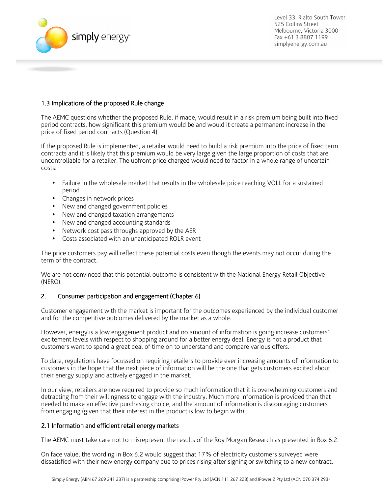

# 1.3 Implications of the proposed Rule change

The AEMC questions whether the proposed Rule, if made, would result in a risk premium being built into fixed period contracts, how significant this premium would be and would it create a permanent increase in the price of fixed period contracts (Question 4).

If the proposed Rule is implemented, a retailer would need to build a risk premium into the price of fixed term contracts and it is likely that this premium would be very large given the large proportion of costs that are uncontrollable for a retailer. The upfront price charged would need to factor in a whole range of uncertain costs:

- Failure in the wholesale market that results in the wholesale price reaching VOLL for a sustained period
- Changes in network prices
- New and changed government policies
- New and changed taxation arrangements
- New and changed accounting standards
- Network cost pass throughs approved by the AER
- Costs associated with an unanticipated ROLR event

The price customers pay will reflect these potential costs even though the events may not occur during the term of the contract.

We are not convinced that this potential outcome is consistent with the National Energy Retail Objective (NERO).

### 2. Consumer participation and engagement (Chapter 6)

Customer engagement with the market is important for the outcomes experienced by the individual customer and for the competitive outcomes delivered by the market as a whole.

However, energy is a low engagement product and no amount of information is going increase customers' excitement levels with respect to shopping around for a better energy deal. Energy is not a product that customers want to spend a great deal of time on to understand and compare various offers.

To date, regulations have focussed on requiring retailers to provide ever increasing amounts of information to customers in the hope that the next piece of information will be the one that gets customers excited about their energy supply and actively engaged in the market.

In our view, retailers are now required to provide so much information that it is overwhelming customers and detracting from their willingness to engage with the industry. Much more information is provided than that needed to make an effective purchasing choice, and the amount of information is discouraging customers from engaging (given that their interest in the product is low to begin with).

### 2.1 Information and efficient retail energy markets

The AEMC must take care not to misrepresent the results of the Roy Morgan Research as presented in Box 6.2.

On face value, the wording in Box 6.2 would suggest that 17% of electricity customers surveyed were dissatisfied with their new energy company due to prices rising after signing or switching to a new contract.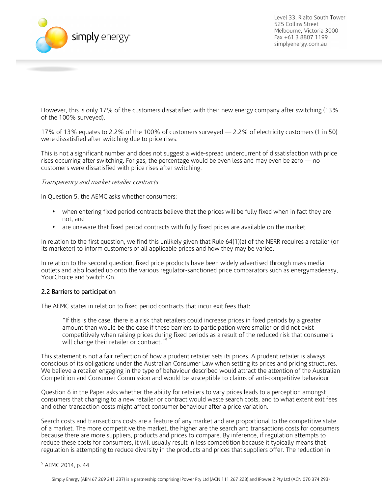

However, this is only 17% of the customers dissatisfied with their new energy company after switching (13% of the 100% surveyed).

17% of 13% equates to 2.2% of the 100% of customers surveyed — 2.2% of electricity customers (1 in 50) were dissatisfied after switching due to price rises.

This is not a significant number and does not suggest a wide-spread undercurrent of dissatisfaction with price rises occurring after switching. For gas, the percentage would be even less and may even be zero — no customers were dissatisfied with price rises after switching.

### Transparency and market retailer contracts

In Question 5, the AEMC asks whether consumers:

- when entering fixed period contracts believe that the prices will be fully fixed when in fact they are not, and
- are unaware that fixed period contracts with fully fixed prices are available on the market.

In relation to the first question, we find this unlikely given that Rule 64(1)(a) of the NERR requires a retailer (or its marketer) to inform customers of all applicable prices and how they may be varied.

In relation to the second question, fixed price products have been widely advertised through mass media outlets and also loaded up onto the various regulator-sanctioned price comparators such as energymadeeasy, YourChoice and Switch On.

### 2.2 Barriers to participation

The AEMC states in relation to fixed period contracts that incur exit fees that:

"If this is the case, there is a risk that retailers could increase prices in fixed periods by a greater amount than would be the case if these barriers to participation were smaller or did not exist competitively when raising prices during fixed periods as a result of the reduced risk that consumers will change their retailer or contract."<sup>5</sup>

This statement is not a fair reflection of how a prudent retailer sets its prices. A prudent retailer is always conscious of its obligations under the Australian Consumer Law when setting its prices and pricing structures. We believe a retailer engaging in the type of behaviour described would attract the attention of the Australian Competition and Consumer Commission and would be susceptible to claims of anti-competitive behaviour.

Question 6 in the Paper asks whether the ability for retailers to vary prices leads to a perception amongst consumers that changing to a new retailer or contract would waste search costs, and to what extent exit fees and other transaction costs might affect consumer behaviour after a price variation.

Search costs and transactions costs are a feature of any market and are proportional to the competitive state of a market. The more competitive the market, the higher are the search and transactions costs for consumers because there are more suppliers, products and prices to compare. By inference, if regulation attempts to reduce these costs for consumers, it will usually result in less competition because it typically means that regulation is attempting to reduce diversity in the products and prices that suppliers offer. The reduction in

<sup>-&</sup>lt;br><sup>5</sup> AEMC 2014, p. 44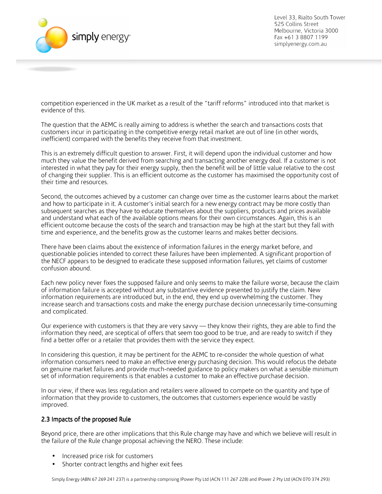

competition experienced in the UK market as a result of the "tariff reforms" introduced into that market is evidence of this.

The question that the AEMC is really aiming to address is whether the search and transactions costs that customers incur in participating in the competitive energy retail market are out of line (in other words, inefficient) compared with the benefits they receive from that investment.

This is an extremely difficult question to answer. First, it will depend upon the individual customer and how much they value the benefit derived from searching and transacting another energy deal. If a customer is not interested in what they pay for their energy supply, then the benefit will be of little value relative to the cost of changing their supplier. This is an efficient outcome as the customer has maximised the opportunity cost of their time and resources.

Second, the outcomes achieved by a customer can change over time as the customer learns about the market and how to participate in it. A customer's initial search for a new energy contract may be more costly than subsequent searches as they have to educate themselves about the suppliers, products and prices available and understand what each of the available options means for their own circumstances. Again, this is an efficient outcome because the costs of the search and transaction may be high at the start but they fall with time and experience, and the benefits grow as the customer learns and makes better decisions.

There have been claims about the existence of information failures in the energy market before, and questionable policies intended to correct these failures have been implemented. A significant proportion of the NECF appears to be designed to eradicate these supposed information failures, yet claims of customer confusion abound.

Each new policy never fixes the supposed failure and only seems to make the failure worse, because the claim of information failure is accepted without any substantive evidence presented to justify the claim. New information requirements are introduced but, in the end, they end up overwhelming the customer. They increase search and transactions costs and make the energy purchase decision unnecessarily time-consuming and complicated.

Our experience with customers is that they are very savvy — they know their rights, they are able to find the information they need, are sceptical of offers that seem too good to be true, and are ready to switch if they find a better offer or a retailer that provides them with the service they expect.

In considering this question, it may be pertinent for the AEMC to re-consider the whole question of what information consumers need to make an effective energy purchasing decision. This would refocus the debate on genuine market failures and provide much-needed guidance to policy makers on what a sensible minimum set of information requirements is that enables a customer to make an effective purchase decision.

In our view, if there was less regulation and retailers were allowed to compete on the quantity and type of information that they provide to customers, the outcomes that customers experience would be vastly improved.

### 2.3 Impacts of the proposed Rule

Beyond price, there are other implications that this Rule change may have and which we believe will result in the failure of the Rule change proposal achieving the NERO. These include:

- Increased price risk for customers
- Shorter contract lengths and higher exit fees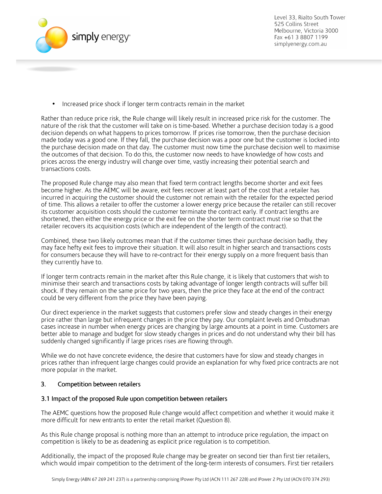

• Increased price shock if longer term contracts remain in the market

Rather than reduce price risk, the Rule change will likely result in increased price risk for the customer. The nature of the risk that the customer will take on is time-based. Whether a purchase decision today is a good decision depends on what happens to prices tomorrow. If prices rise tomorrow, then the purchase decision made today was a good one. If they fall, the purchase decision was a poor one but the customer is locked into the purchase decision made on that day. The customer must now time the purchase decision well to maximise the outcomes of that decision. To do this, the customer now needs to have knowledge of how costs and prices across the energy industry will change over time, vastly increasing their potential search and transactions costs.

The proposed Rule change may also mean that fixed term contract lengths become shorter and exit fees become higher. As the AEMC will be aware, exit fees recover at least part of the cost that a retailer has incurred in acquiring the customer should the customer not remain with the retailer for the expected period of time. This allows a retailer to offer the customer a lower energy price because the retailer can still recover its customer acquisition costs should the customer terminate the contract early. If contract lengths are shortened, then either the energy price or the exit fee on the shorter term contract must rise so that the retailer recovers its acquisition costs (which are independent of the length of the contract).

Combined, these two likely outcomes mean that if the customer times their purchase decision badly, they may face hefty exit fees to improve their situation. It will also result in higher search and transactions costs for consumers because they will have to re-contract for their energy supply on a more frequent basis than they currently have to.

If longer term contracts remain in the market after this Rule change, it is likely that customers that wish to minimise their search and transactions costs by taking advantage of longer length contracts will suffer bill shock. If they remain on the same price for two years, then the price they face at the end of the contract could be very different from the price they have been paying.

Our direct experience in the market suggests that customers prefer slow and steady changes in their energy price rather than large but infrequent changes in the price they pay. Our complaint levels and Ombudsman cases increase in number when energy prices are changing by large amounts at a point in time. Customers are better able to manage and budget for slow steady changes in prices and do not understand why their bill has suddenly changed significantly if large prices rises are flowing through.

While we do not have concrete evidence, the desire that customers have for slow and steady changes in prices rather than infrequent large changes could provide an explanation for why fixed price contracts are not more popular in the market.

# 3. Competition between retailers

### 3.1 Impact of the proposed Rule upon competition between retailers

The AEMC questions how the proposed Rule change would affect competition and whether it would make it more difficult for new entrants to enter the retail market (Question 8).

As this Rule change proposal is nothing more than an attempt to introduce price regulation, the impact on competition is likely to be as deadening as explicit price regulation is to competition.

Additionally, the impact of the proposed Rule change may be greater on second tier than first tier retailers, which would impair competition to the detriment of the long-term interests of consumers. First tier retailers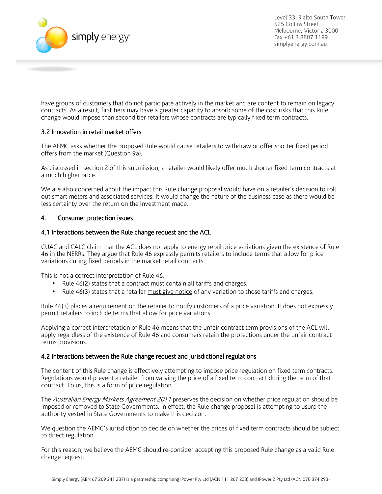

have groups of customers that do not participate actively in the market and are content to remain on legacy contracts. As a result, first tiers may have a greater capacity to absorb some of the cost risks that this Rule change would impose than second tier retailers whose contracts are typically fixed term contracts.

### 3.2 Innovation in retail market offers

The AEMC asks whether the proposed Rule would cause retailers to withdraw or offer shorter fixed period offers from the market (Question 9a).

As discussed in section 2 of this submission, a retailer would likely offer much shorter fixed term contracts at a much higher price.

We are also concerned about the impact this Rule change proposal would have on a retailer's decision to roll out smart meters and associated services. It would change the nature of the business case as there would be less certainty over the return on the investment made.

### 4. Consumer protection issues

#### 4.1 Interactions between the Rule change request and the ACL

CUAC and CALC claim that the ACL does not apply to energy retail price variations given the existence of Rule 46 in the NERRs. They argue that Rule 46 expressly permits retailers to include terms that allow for price variations during fixed periods in the market retail contracts.

This is not a correct interpretation of Rule 46.

- Rule 46(2) states that a contract must contain all tariffs and charges.
- Rule 46(3) states that a retailer must give notice of any variation to those tariffs and charges.

Rule 46(3) places a requirement on the retailer to notify customers of a price variation. It does not expressly permit retailers to include terms that allow for price variations.

Applying a correct interpretation of Rule 46 means that the unfair contract term provisions of the ACL will apply regardless of the existence of Rule 46 and consumers retain the protections under the unfair contract terms provisions.

#### 4.2 Interactions between the Rule change request and jurisdictional regulations

The content of this Rule change is effectively attempting to impose price regulation on fixed term contracts. Regulations would prevent a retailer from varying the price of a fixed term contract during the term of that contract. To us, this is a form of price regulation.

The Australian Energy Markets Agreement 2011 preserves the decision on whether price regulation should be imposed or removed to State Governments. In effect, the Rule change proposal is attempting to usurp the authority vested in State Governments to make this decision.

We question the AEMC's jurisdiction to decide on whether the prices of fixed term contracts should be subject to direct regulation.

For this reason, we believe the AEMC should re-consider accepting this proposed Rule change as a valid Rule change request.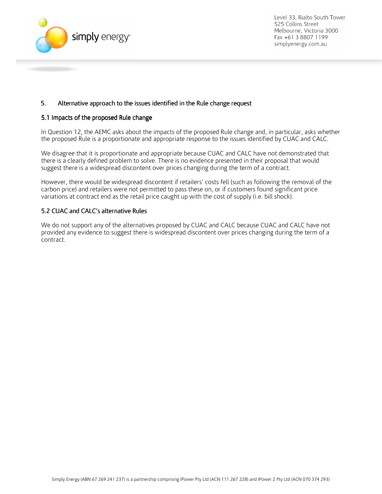

# 5. Alternative approach to the issues identified in the Rule change request

### 5.1 Impacts of the proposed Rule change

In Question 12, the AEMC asks about the impacts of the proposed Rule change and, in particular, asks whether the proposed Rule is a proportionate and appropriate response to the issues identified by CUAC and CALC.

We disagree that it is proportionate and appropriate because CUAC and CALC have not demonstrated that there is a clearly defined problem to solve. There is no evidence presented in their proposal that would suggest there is a widespread discontent over prices changing during the term of a contract.

However, there would be widespread discontent if retailers' costs fell (such as following the removal of the carbon price) and retailers were not permitted to pass these on, or if customers found significant price variations at contract end as the retail price caught up with the cost of supply (i.e. bill shock).

### 5.2 CUAC and CALC's alternative Rules

We do not support any of the alternatives proposed by CUAC and CALC because CUAC and CALC have not provided any evidence to suggest there is widespread discontent over prices changing during the term of a contract.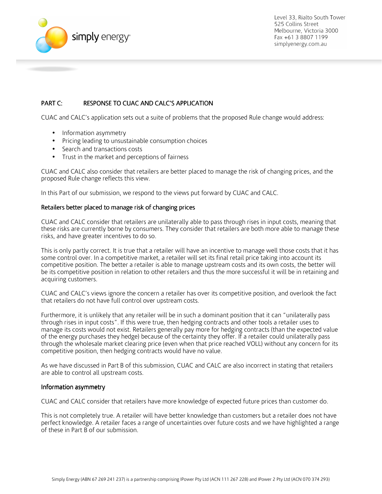

# PART C: RESPONSE TO CUAC AND CALC'S APPLICATION

CUAC and CALC's application sets out a suite of problems that the proposed Rule change would address:

- Information asymmetry
- Pricing leading to unsustainable consumption choices
- Search and transactions costs
- Trust in the market and perceptions of fairness

CUAC and CALC also consider that retailers are better placed to manage the risk of changing prices, and the proposed Rule change reflects this view.

In this Part of our submission, we respond to the views put forward by CUAC and CALC.

#### Retailers better placed to manage risk of changing prices

CUAC and CALC consider that retailers are unilaterally able to pass through rises in input costs, meaning that these risks are currently borne by consumers. They consider that retailers are both more able to manage these risks, and have greater incentives to do so.

This is only partly correct. It is true that a retailer will have an incentive to manage well those costs that it has some control over. In a competitive market, a retailer will set its final retail price taking into account its competitive position. The better a retailer is able to manage upstream costs and its own costs, the better will be its competitive position in relation to other retailers and thus the more successful it will be in retaining and acquiring customers.

CUAC and CALC's views ignore the concern a retailer has over its competitive position, and overlook the fact that retailers do not have full control over upstream costs.

Furthermore, it is unlikely that any retailer will be in such a dominant position that it can "unilaterally pass through rises in input costs". If this were true, then hedging contracts and other tools a retailer uses to manage its costs would not exist. Retailers generally pay more for hedging contracts (than the expected value of the energy purchases they hedge) because of the certainty they offer. If a retailer could unilaterally pass through the wholesale market clearing price (even when that price reached VOLL) without any concern for its competitive position, then hedging contracts would have no value.

As we have discussed in Part B of this submission, CUAC and CALC are also incorrect in stating that retailers are able to control all upstream costs.

#### Information asymmetry

CUAC and CALC consider that retailers have more knowledge of expected future prices than customer do.

This is not completely true. A retailer will have better knowledge than customers but a retailer does not have perfect knowledge. A retailer faces a range of uncertainties over future costs and we have highlighted a range of these in Part B of our submission.